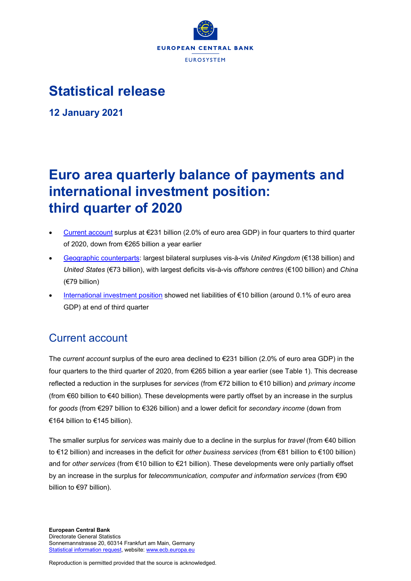

## **Statistical release**

**12 January 2021**

# **Euro area quarterly balance of payments and international investment position: third quarter of 2020**

- [Current account](http://sdw.ecb.europa.eu/browseSelection.do?type=series&q=BP6.Q.N.I8.W1.S1.S1.T.B.CA._Z._Z._Z.EUR._T._X.N&node=SEARCHRESULTS&ec=&oc=&rc=&cv=&pb=&dc=&df=) surplus at  $\epsilon$ 231 billion (2.0% of euro area GDP) in four quarters to third quarter of 2020, down from €265 billion a year earlier
- [Geographic counterparts:](http://sdw.ecb.europa.eu/browseSelection.do?df=true&ec=&dc=&oc=&pb=&rc=&DATASET=0&removeItem=&removedItemList=&mergeFilter=&activeTab=&showHide=&FREQ.243=Q&ADJUSTMENT.243=N&REF_AREA.243=I8&COUNTERPART_AREA.243=CH&COUNTERPART_AREA.243=CN&COUNTERPART_AREA.243=GB&COUNTERPART_AREA.243=JP&COUNTERPART_AREA.243=K9&COUNTERPART_AREA.243=R12&COUNTERPART_AREA.243=RU&COUNTERPART_AREA.243=US&COUNTERPART_AREA.243=W1&REF_SECTOR.243=S1&ACCOUNTING_ENTRY.243=B&INT_ACC_ITEM.243=CA&INT_ACC_ITEM.243=G&INT_ACC_ITEM.243=IN1&INT_ACC_ITEM.243=IN2&INT_ACC_ITEM.243=S&UNIT_MEASURE.243=EUR&node=9688874&legendRef=reference&legendNor=) largest bilateral surpluses vis-à-vis *United Kingdom* (€138 billion) and *United States* (€73 billion), with largest deficits vis-à-vis *offshore centres* (€100 billion) and *China* (€79 billion)
- [International investment position](https://sdw.ecb.europa.eu/browseSelection.do?type=series&q=BP6.Q.N.I8.W1.S1.S1.LE.N.FA._T.F._Z.EUR._T._X.N+BP6.Q.N.I8.W1.S1.S1.LE.N.FA.D.F._Z.EUR._T._X.N+BP6.Q.N.I8.W1.S1.S1.LE.N.FA.F.F7.T.EUR._T.T.N+BP6.Q.N.I8.W1.S1.S1.LE.N.FA.O.F._Z.EUR._T._X.N+BP6.Q.N.I8.W1.S1.S1.LE.N.FA.P.F3.T.EUR._T.M.N+BP6.Q.N.I8.W1.S1.S1.LE.N.FA.P.F5._Z.EUR._T.M.N+BP6.Q.N.I8.W1.S121.S1.LE.A.FA.R.F._Z.EUR.X1._X.N&node=SEARCHRESULTS&ec=&oc=&rc=&cv=&pb=&dc=&df=) showed net liabilities of €10 billion (around 0.1% of euro area GDP) at end of third quarter

## Current account

The *current account* surplus of the euro area declined to €231 billion (2.0% of euro area GDP) in the four quarters to the third quarter of 2020, from €265 billion a year earlier (see Table 1). This decrease reflected a reduction in the surpluses for *services* (from €72 billion to €10 billion) and *primary income* (from €60 billion to €40 billion). These developments were partly offset by an increase in the surplus for *goods* (from €297 billion to €326 billion) and a lower deficit for *secondary income* (down from €164 billion to €145 billion).

The smaller surplus for *services* was mainly due to a decline in the surplus for *travel* (from €40 billion to €12 billion) and increases in the deficit for *other business services* (from €81 billion to €100 billion) and for *other services* (from €10 billion to €21 billion). These developments were only partially offset by an increase in the surplus for *telecommunication, computer and information services* (from €90 billion to €97 billion).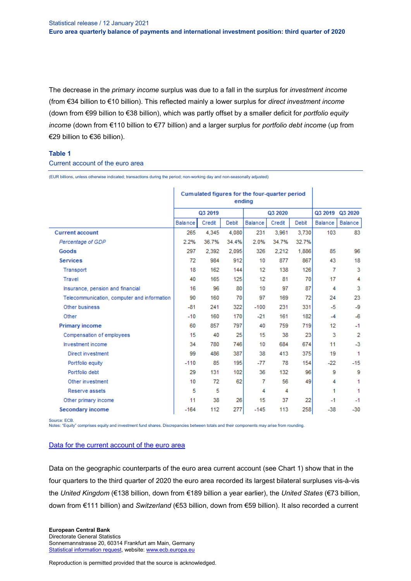The decrease in the *primary income* surplus was due to a fall in the surplus for *investment income* (from €34 billion to €10 billion). This reflected mainly a lower surplus for *direct investment income*  (down from €99 billion to €38 billion), which was partly offset by a smaller deficit for *portfolio equity income* (down from €110 billion to €77 billion) and a larger surplus for *portfolio debt income* (up from €29 billion to €36 billion).

#### **Table 1**

#### Current account of the euro area

(EUR billions, unless otherwise indicated; transactions during the period; non-working day and non-seasonally adjusted)

|                                             | Cumulated figures for the four-quarter period<br>ending |        |       |         |        |       |         |                 |
|---------------------------------------------|---------------------------------------------------------|--------|-------|---------|--------|-------|---------|-----------------|
|                                             | Q3 2019                                                 |        |       | Q3 2020 |        |       |         | Q3 2019 Q3 2020 |
|                                             | Balance                                                 | Credit | Debit | Balance | Credit | Debit | Balance | Balance         |
| <b>Current account</b>                      | 265                                                     | 4.345  | 4.080 | 231     | 3.961  | 3.730 | 103     | 83              |
| Percentage of GDP                           | 2.2%                                                    | 36.7%  | 34.4% | 2.0%    | 34.7%  | 32.7% |         |                 |
| Goods                                       | 297                                                     | 2.392  | 2.095 | 326     | 2,212  | 1,886 | 85      | 96              |
| <b>Services</b>                             | 72                                                      | 984    | 912   | 10      | 877    | 867   | 43      | 18              |
| Transport                                   | 18                                                      | 162    | 144   | 12      | 138    | 126   | 7       | 3               |
| Travel                                      | 40                                                      | 165    | 125   | 12      | 81     | 70    | 17      | 4               |
| Insurance, pension and financial            | 16                                                      | 96     | 80    | 10      | 97     | 87    | 4       | 3               |
| Telecommunication, computer and information | 90                                                      | 160    | 70    | 97      | 169    | 72    | 24      | 23              |
| Other business                              | $-81$                                                   | 241    | 322   | $-100$  | 231    | 331   | $-5$    | $-9$            |
| Other                                       | $-10$                                                   | 160    | 170   | $-21$   | 161    | 182   | $-4$    | $-6$            |
| <b>Primary income</b>                       | 60                                                      | 857    | 797   | 40      | 759    | 719   | 12      | $-1$            |
| Compensation of employees                   | 15                                                      | 40     | 25    | 15      | 38     | 23    | 3       | 2               |
| Investment income                           | 34                                                      | 780    | 746   | 10      | 684    | 674   | 11      | $-3$            |
| Direct investment                           | 99                                                      | 486    | 387   | 38      | 413    | 375   | 19      | 1               |
| Portfolio equity                            | $-110$                                                  | 85     | 195   | $-77$   | 78     | 154   | $-22$   | $-15$           |
| Portfolio debt                              | 29                                                      | 131    | 102   | 36      | 132    | 96    | 9       | 9               |
| Other investment                            | 10                                                      | 72     | 62    | 7       | 56     | 49    | 4       | 1               |
| Reserve assets                              | 5                                                       | 5      |       | 4       | 4      |       | 1       | 1               |
| Other primary income                        | 11                                                      | 38     | 26    | 15      | 37     | 22    | $-1$    | $-1$            |
| Secondary income                            | $-164$                                                  | 112    | 277   | $-145$  | 113    | 258   | $-38$   | $-30$           |

Source: ECB.

Notes: "Equity" comprises equity and investment fund shares. Discrepancies between totals and their components may arise from rounding.

#### [Data for the current account of the euro area](http://sdw.ecb.europa.eu/browseSelection.do?type=series&q=BP6.Q.N.I8.W1.S1.S1.T.%3f.CA._Z._Z._Z.EUR._T._X.N%09BP6.Q.N.I8.W1.S1.S1.T.%3f.D1._Z._Z._Z.EUR._T._X.N%09BP6.Q.N.I8.W1.S1.S1.T.%3f.D41.P.F3.T.EUR._T._X.N%09BP6.Q.N.I8.W1.S1.S1.T.%3f.D4O._Z._Z._Z.EUR._T._X.N%09BP6.Q.N.I8.W1.S1.S1.T.%3f.D4P._T.F._Z.EUR._T._X.N%09BP6.Q.N.I8.W1.S1.S1.T.%3f.D4P.D.F._Z.EUR._T._X.N%09BP6.Q.N.I8.W1.S1.S1.T.%3f.D4P.O.F._Z.EUR._T._X.N%09BP6.Q.N.I8.W1.S1.S1.T.%3f.D4S.P.F5._Z.EUR._T._X.N%09BP6.Q.N.I8.W1.S1.S1.T.%3f.G._Z._Z._Z.EUR._T._X.N%09BP6.Q.N.I8.W1.S1.S1.T.%3f.G1._Z._Z._Z.EUR._T._X.N%09BP6.Q.N.I8.W1.S1.S1.T.%3f.IN1._Z._Z._Z.EUR._T._X.N%09BP6.Q.N.I8.W1.S1.S1.T.%3f.IN2._Z._Z._Z.EUR._T._X.N%09BP6.Q.N.I8.W1.S1.S1.T.%3f.S._Z._Z._Z.EUR._T._X.N%09BP6.Q.N.I8.W1.S1.S1.T.%3f.SC._Z._Z._Z.EUR._T._X.N%09BP6.Q.N.I8.W1.S1.S1.T.%3f.SD._Z._Z._Z.EUR._T._X.N%09BP6.Q.N.I8.W1.S1.S1.T.%3f.SF._Z._Z._Z.EUR._T._X.N%09BP6.Q.N.I8.W1.S1.S1.T.%3f.SI._Z._Z._Z.EUR._T._X.N%09BP6.Q.N.I8.W1.S1.S1.T.%3f.SJ._Z._Z._Z.EUR._T._X.N%09BP6.Q.N.I8.W1.S121.S1.T.C.D4P.R.F._Z.EUR.X1._X.N&node=SEARCHRESULTS&ec=&oc=&rc=&cv=&pb=&dc=&df=)

Data on the geographic counterparts of the euro area current account (see Chart 1) show that in the four quarters to the third quarter of 2020 the euro area recorded its largest bilateral surpluses vis-à-vis the *United Kingdom* (€138 billion, down from €189 billion a year earlier), the *United States* (€73 billion, down from €111 billion) and *Switzerland* (€53 billion, down from €59 billion). It also recorded a current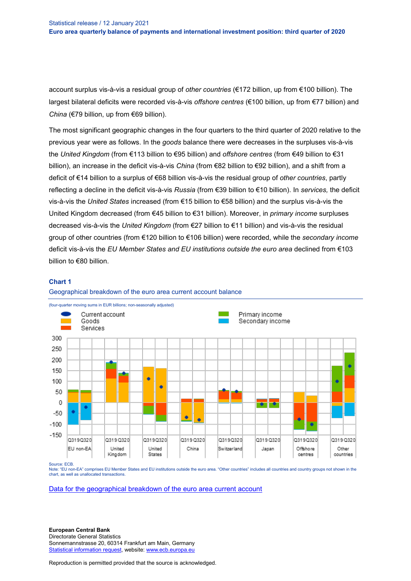account surplus vis-à-vis a residual group of *other countries* (€172 billion, up from €100 billion). The largest bilateral deficits were recorded vis-à-vis *offshore centres* (€100 billion, up from €77 billion) and *China* (€79 billion, up from €69 billion).

The most significant geographic changes in the four quarters to the third quarter of 2020 relative to the previous year were as follows. In the *goods* balance there were decreases in the surpluses vis-à-vis the *United Kingdom* (from €113 billion to €95 billion) and *offshore centres* (from €49 billion to €31 billion), an increase in the deficit vis-à-vis *China* (from €82 billion to €92 billion), and a shift from a deficit of €14 billion to a surplus of €68 billion vis-à-vis the residual group of *other countries*, partly reflecting a decline in the deficit vis-à-vis *Russia* (from €39 billion to €10 billion). In *services,* the deficit vis-à-vis the *United States* increased (from €15 billion to €58 billion) and the surplus vis-à-vis the United Kingdom decreased (from €45 billion to €31 billion). Moreover, in *primary income* surpluses decreased vis-à-vis the *United Kingdom* (from €27 billion to €11 billion) and vis-à-vis the residual group of other countries (from €120 billion to €106 billion) were recorded, while the *secondary income* deficit vis-à-vis the *EU Member States and EU institutions outside the euro area* declined from €103 billion to €80 billion.

#### **Chart 1**





Source: ECB.

Note: "EU non-EA" comprises EU Member States and EU institutions outside the euro area. "Other countries" includes all countries and country groups not shown in the chart, as well as unallocated transactions.

[Data for the geographical breakdown of the euro area current account](http://sdw.ecb.europa.eu/browseSelection.do?type=series&q=BP6.Q.N.I8.%5e%5e.S1.S1.T.B.CA._Z._Z._Z.EUR._T._X.N%09BP6.Q.N.I8.%5e%5e.S1.S1.T.B.G._Z._Z._Z.EUR._T._X.N%09BP6.Q.N.I8.%5e%5e.S1.S1.T.B.IN1._Z._Z._Z.EUR._T._X.N%09BP6.Q.N.I8.%5e%5e.S1.S1.T.B.IN2._Z._Z._Z.EUR._T._X.N%09BP6.Q.N.I8.%5e%5e.S1.S1.T.B.S._Z._Z._Z.EUR._T._X.N&node=SEARCHRESULTS&ec=&oc=&rc=&cv=&pb=&dc=&df=)

**European Central Bank** Directorate General Statistics Sonnemannstrasse 20, 60314 Frankfurt am Main, Germany [Statistical information request,](https://ecb-registration.escb.eu/statistical-information) website: [www.ecb.europa.eu](http://www.ecb.europa.eu/)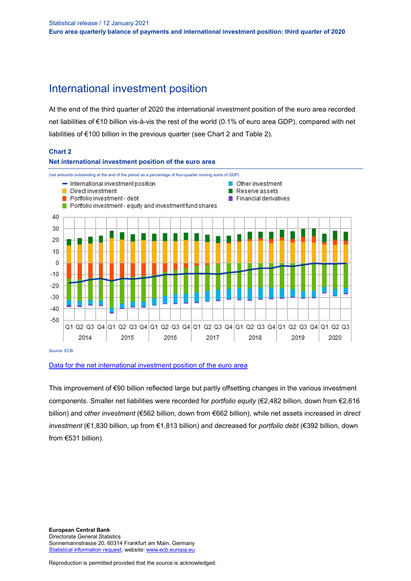### International investment position

At the end of the third quarter of 2020 the international investment position of the euro area recorded net liabilities of €10 billion vis-à-vis the rest of the world (0.1% of euro area GDP), compared with net liabilities of €100 billion in the previous quarter (see Chart 2 and Table 2).

#### **Chart 2**



#### [Data for the net international investment position of the euro area](http://sdw.ecb.europa.eu/browseSelection.do?type=series&q=BP6.Q.N.I8.W1.S1.S1.LE.N.FA._T.F._Z.EUR._T._X.N+BP6.Q.N.I8.W1.S1.S1.LE.N.FA.D.F._Z.EUR._T._X.N+BP6.Q.N.I8.W1.S1.S1.LE.N.FA.F.F7.T.EUR._T.T.N+BP6.Q.N.I8.W1.S1.S1.LE.N.FA.O.F._Z.EUR._T._X.N+BP6.Q.N.I8.W1.S1.S1.LE.N.FA.P.F3.T.EUR._T.M.N+BP6.Q.N.I8.W1.S1.S1.LE.N.FA.P.F5._Z.EUR._T.M.N+BP6.Q.N.I8.W1.S121.S1.LE.A.FA.R.F._Z.EUR.X1._X.N&node=SEARCHRESULTS&ec=&oc=&rc=&cv=&pb=&dc=&df=)

This improvement of €90 billion reflected large but partly offsetting changes in the various investment components. Smaller net liabilities were recorded for *portfolio equity* (€2,482 billion, down from €2,616 billion) and *other investment* (€562 billion, down from €662 billion), while net assets increased in *direct investment* (€1,830 billion, up from €1,813 billion) and decreased for *portfolio debt* (€392 billion, down from €531 billion).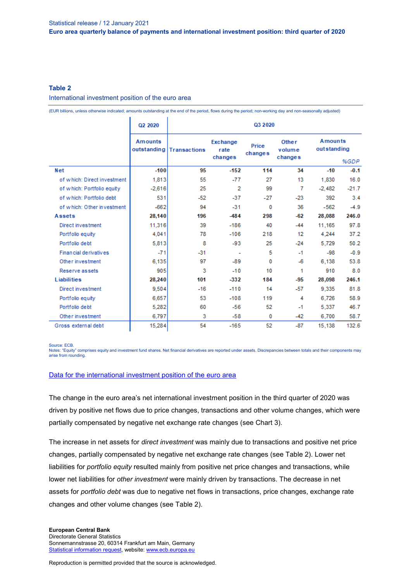#### **Table 2**

International investment position of the euro area

(EUR billions, unless otherwise indicated; amounts outstanding at the end of the period, flows during the period; non-working day and non-seasonally adjusted)

|                             | Q2 2020                       | Q3 2020             |                                    |                  |                                   |          |                                       |  |  |
|-----------------------------|-------------------------------|---------------------|------------------------------------|------------------|-----------------------------------|----------|---------------------------------------|--|--|
|                             | <b>Amounts</b><br>outstanding | <b>Transactions</b> | <b>Exchange</b><br>rate<br>changes | Price<br>changes | <b>Other</b><br>volume<br>changes |          | <b>Amounts</b><br>outstanding<br>%GDP |  |  |
| Net                         | $-100$                        | 95                  | $-152$                             | 114              | 34                                | $-10$    | $-0.1$                                |  |  |
| of which: Direct investment | 1,813                         | 55                  | $-77$                              | 27               | 13                                | 1.830    | 16.0                                  |  |  |
| of which: Portfolio equity  | $-2,616$                      | 25                  | 2                                  | 99               | 7                                 | $-2,482$ | $-21.7$                               |  |  |
| of which: Portfolio debt    | 531                           | $-52$               | $-37$                              | $-27$            | $-23$                             | 392      | 3.4                                   |  |  |
| of which: Other investment  | $-662$                        | 94                  | $-31$                              | o                | 36                                | $-562$   | $-4.9$                                |  |  |
| Assets                      | 28,140                        | 196                 | $-484$                             | 298              | $-62$                             | 28,088   | 246.0                                 |  |  |
| Direct investment           | 11,316                        | 39                  | $-186$                             | 40               | $-44$                             | 11,165   | 97.8                                  |  |  |
| Portfolio equity            | 4,041                         | 78                  | $-106$                             | 218              | 12                                | 4,244    | 37.2                                  |  |  |
| Portfolio debt              | 5,813                         | 8                   | $-93$                              | 25               | $-24$                             | 5,729    | 50.2                                  |  |  |
| Financial derivatives       | $-71$                         | $-31$               | ٠                                  | 5                | $-1$                              | $-98$    | $-0.9$                                |  |  |
| Other investment            | 6,135                         | 97                  | $-89$                              | 0                | $-6$                              | 6,138    | 53.8                                  |  |  |
| Reserve assets              | 905                           | 3                   | $-10$                              | 10               | 1                                 | 910      | 8.0                                   |  |  |
| Liabilities                 | 28,240                        | 101                 | $-332$                             | 184              | $-95$                             | 28,098   | 246.1                                 |  |  |
| Direct investment           | 9,504                         | $-16$               | $-110$                             | 14               | $-57$                             | 9,335    | 81.8                                  |  |  |
| Portfolio equity            | 6,657                         | 53                  | $-108$                             | 119              | 4                                 | 6.726    | 58.9                                  |  |  |
| Portfolio debt              | 5,282                         | 60                  | $-56$                              | 52               | $-1$                              | 5,337    | 46.7                                  |  |  |
| Other investment            | 6,797                         | 3                   | $-58$                              | 0                | $-42$                             | 6,700    | 58.7                                  |  |  |
| Gross external debt         | 15,284                        | 54                  | $-165$                             | 52               | $-87$                             | 15,138   | 132.6                                 |  |  |

Source: ECB.

Notes: "Equity" comprises equity and investment fund shares. Net financial derivatives are reported under assets. Discrepancies between totals and their components may arise from rounding.

#### [Data for the international investment position of the euro area](http://sdw.ecb.europa.eu/browseSelection.do?type=series&q=BP6.Q.N.I8.W1.S1.S1.K7%3f.%3f.FA._T.F._Z.EUR._T._X.N%09BP6.Q.N.I8.W1.S1.S1.K7%3f.%3f.FA.D.F._Z.EUR._T._X.N%09BP6.Q.N.I8.W1.S1.S1.K7%3f.%3f.FA.O.F._Z.EUR._T._X.N%09BP6.Q.N.I8.W1.S1.S1.K7%3f.%3f.FA.P.F3.T.EUR._T.M.N%09BP6.Q.N.I8.W1.S1.S1.K7%3f.%3f.FA.P.F5._Z.EUR._T.M.N%09BP6.Q.N.I8.W1.S1.S1.K7A.N.FA.F.F7.T.EUR._T.T.N%09BP6.Q.N.I8.W1.S1.S1.K7B.N.FA.F.F7.T.EUR._T.T.N%09BP6.Q.N.I8.W1.S1.S1.KA.%3f.FA._X.F._Z.EUR._T._X.N%09BP6.Q.N.I8.W1.S1.S1.KA.%3f.FA.D.F._Z.EUR._T._X.N%09BP6.Q.N.I8.W1.S1.S1.KA.%3f.FA.O.F._Z.EUR._T._X.N%09BP6.Q.N.I8.W1.S1.S1.KA.%3f.FA.P.F3.T.EUR._T.M.N%09BP6.Q.N.I8.W1.S1.S1.KA.%3f.FA.P.F5._Z.EUR._T.M.N%09BP6.Q.N.I8.W1.S1.S1.KA.N.FA._T.F._Z.EUR._T._X.N%09BP6.Q.N.I8.W1.S1.S1.KA.N.FA.F.F7.T.EUR._T.T.N%09BP6.Q.N.I8.W1.S1.S1.LE.%5e.FA._X.F._Z.EUR._T._X.N%09BP6.Q.N.I8.W1.S1.S1.LE.%5e.FA.D.F._Z.EUR._T._X.N%09BP6.Q.N.I8.W1.S1.S1.LE.%5e.FA.O.F._Z.EUR._T._X.N%09BP6.Q.N.I8.W1.S1.S1.LE.%5e.FA.P.F3.T.EUR._T.M.N%09BP6.Q.N.I8.W1.S1.S1.LE.%5e.FA.P.F5._Z.EUR._T.M.N%09BP6.Q.N.I8.W1.S1.S1.LE.N.FA._T.F._Z.EUR._T._X.N%09BP6.Q.N.I8.W1.S1.S1.LE.N.FA.F.F7.T.EUR._T.T.N%09BP6.Q.N.I8.W1.S1.S1.T.%5e.FA._T.F._Z.EUR._T._X.N%09BP6.Q.N.I8.W1.S1.S1.T.%5e.FA.D.F._Z.EUR._T._X.N%09BP6.Q.N.I8.W1.S1.S1.T.%5e.FA.O.F._Z.EUR._T._X.N%09BP6.Q.N.I8.W1.S1.S1.T.%5e.FA.P.F3.T.EUR._T.M.N%09BP6.Q.N.I8.W1.S1.S1.T.%5e.FA.P.F5._Z.EUR._T.M.N%09BP6.Q.N.I8.W1.S1.S1.T.N.FA.F.F7.T.EUR._T.T.N%09BP6.Q.N.I8.W1.S121.S1.K7%3f.A.FA.R.F._Z.EUR.X1._X.N%09BP6.Q.N.I8.W1.S121.S1.KA.A.FA.R.F._Z.EUR.X1._X.N%09BP6.Q.N.I8.W1.S121.S1.LE.A.FA.R.F._Z.EUR.X1._X.N%09BP6.Q.N.I8.W1.S121.S1.T.A.FA.R.F._Z.EUR.X1._X.N%09BP6.Q.N.I8.W1.S1.S1.%3f.L.FA._T.FGED._Z.EUR._T._X.N&node=SEARCHRESULTS&ec=&oc=&rc=&cv=&pb=&dc=&df=)

The change in the euro area's net international investment position in the third quarter of 2020 was driven by positive net flows due to price changes, transactions and other volume changes, which were partially compensated by negative net exchange rate changes (see Chart 3).

The increase in net assets for *direct investment* was mainly due to transactions and positive net price changes, partially compensated by negative net exchange rate changes (see Table 2). Lower net liabilities for *portfolio equity* resulted mainly from positive net price changes and transactions, while lower net liabilities for *other investment* were mainly driven by transactions. The decrease in net assets for *portfolio debt* was due to negative net flows in transactions, price changes, exchange rate changes and other volume changes (see Table 2).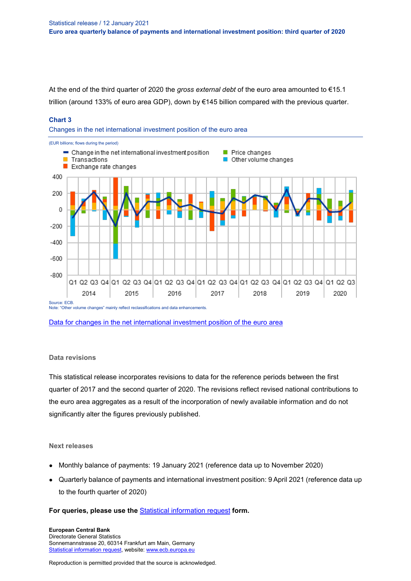At the end of the third quarter of 2020 the *gross external debt* of the euro area amounted to €15.1 trillion (around 133% of euro area GDP), down by €145 billion compared with the previous quarter.

#### **Chart 3**

Changes in the net international investment position of the euro area



[Data for changes in the net international investment position of the euro area](http://sdw.ecb.europa.eu/browseSelection.do?type=series&q=BP6.Q.N.I8.W1.S1.S1.K.N.FA._T.F._Z.EUR._T._X.N+BP6.Q.N.I8.W1.S1.S1.K7A.N.FA._T.F._Z.EUR._T._X.N+BP6.Q.N.I8.W1.S1.S1.K7B.N.FA._T.F._Z.EUR._T._X.N+BP6.Q.N.I8.W1.S1.S1.KA.N.FA._T.F._Z.EUR._T._X.N+BP6.Q.N.I8.W1.S1.S1.LE.N.FA._T.F._Z.EUR._T._X.N++BP6.Q.N.I8.W1.S1.S1.T.N.FA._T.F._Z.EUR._T._X.N&node=SEARCHRESULTS&ec=&oc=&rc=&cv=&pb=&dc=&df=)

#### **Data revisions**

This statistical release incorporates revisions to data for the reference periods between the first quarter of 2017 and the second quarter of 2020. The revisions reflect revised national contributions to the euro area aggregates as a result of the incorporation of newly available information and do not significantly alter the figures previously published.

#### **Next releases**

- Monthly balance of payments: 19 January 2021 (reference data up to November 2020)
- Quarterly balance of payments and international investment position: 9 April 2021 (reference data up to the fourth quarter of 2020)

#### **For queries, please use the** [Statistical information request](https://ecb-registration.escb.eu/statistical-information) **form.**